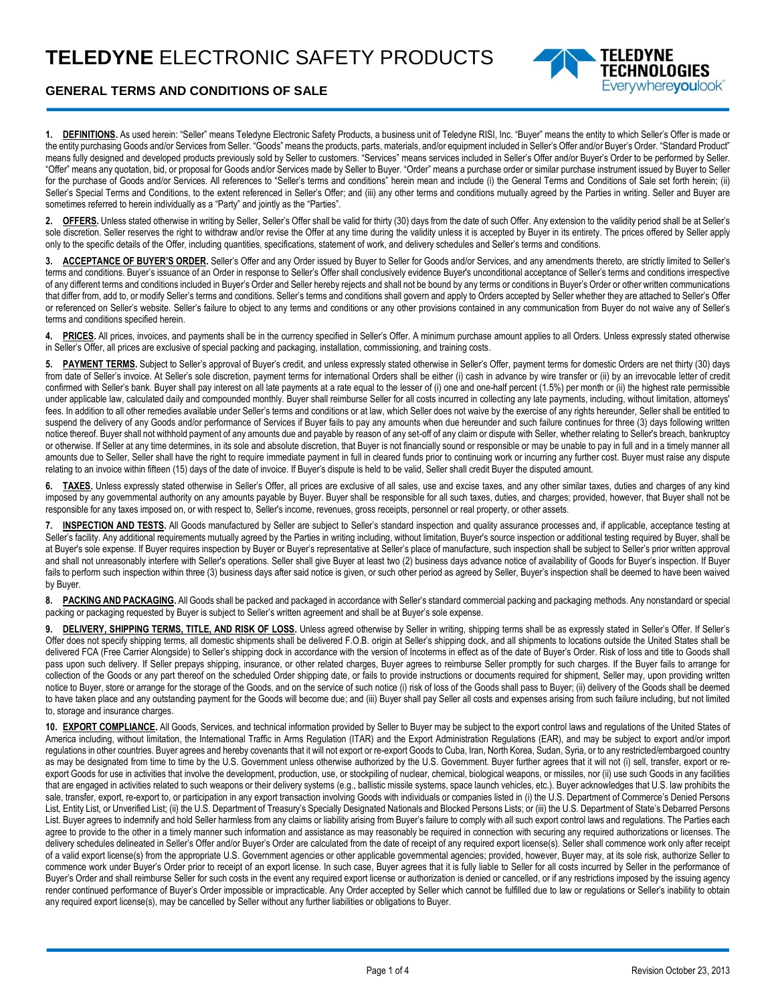

## **GENERAL TERMS AND CONDITIONS OF SALE**

**1. DEFINITIONS.** As used herein: "Seller" means Teledyne Electronic Safety Products, a business unit of Teledyne RISI, Inc. "Buyer" means the entity to which Seller's Offer is made or the entity purchasing Goods and/or Services from Seller. "Goods" means the products, parts, materials, and/or equipment included in Seller's Offer and/or Buyer's Order. "Standard Product" means fully designed and developed products previously sold by Seller to customers. "Services" means services included in Seller's Offer and/or Buyer's Order to be performed by Seller. "Offer" means any quotation, bid, or proposal for Goods and/or Services made by Seller to Buyer. "Order" means a purchase order or similar purchase instrument issued by Buyer to Seller for the purchase of Goods and/or Services. All references to "Seller's terms and conditions" herein mean and include (i) the General Terms and Conditions of Sale set forth herein; (ii) Seller's Special Terms and Conditions, to the extent referenced in Seller's Offer; and (iii) any other terms and conditions mutually agreed by the Parties in writing. Seller and Buyer are sometimes referred to herein individually as a "Party" and jointly as the "Parties".

**2. OFFERS.** Unless stated otherwise in writing by Seller, Seller's Offer shall be valid for thirty (30) days from the date of such Offer. Any extension to the validity period shall be at Seller's sole discretion. Seller reserves the right to withdraw and/or revise the Offer at any time during the validity unless it is accepted by Buyer in its entirety. The prices offered by Seller apply only to the specific details of the Offer, including quantities, specifications, statement of work, and delivery schedules and Seller's terms and conditions.

**3. ACCEPTANCE OF BUYER'S ORDER.** Seller's Offer and any Order issued by Buyer to Seller for Goods and/or Services, and any amendments thereto, are strictly limited to Seller's terms and conditions. Buyer's issuance of an Order in response to Seller's Offer shall conclusively evidence Buyer's unconditional acceptance of Seller's terms and conditions irrespective of any different terms and conditions included in Buyer's Order and Seller hereby rejects and shall not be bound by any terms or conditions in Buyer's Order or other written communications that differ from, add to, or modify Seller's terms and conditions. Seller's terms and conditions shall govern and apply to Orders accepted by Seller whether they are attached to Seller's Offer or referenced on Seller's website. Seller's failure to object to any terms and conditions or any other provisions contained in any communication from Buyer do not waive any of Seller's terms and conditions specified herein.

4. PRICES. All prices, invoices, and payments shall be in the currency specified in Seller's Offer. A minimum purchase amount applies to all Orders. Unless expressly stated otherwise in Seller's Offer, all prices are exclusive of special packing and packaging, installation, commissioning, and training costs.

**5. PAYMENT TERMS.** Subject to Seller's approval of Buyer's credit, and unless expressly stated otherwise in Seller's Offer, payment terms for domestic Orders are net thirty (30) days from date of Seller's invoice. At Seller's sole discretion, payment terms for international Orders shall be either (i) cash in advance by wire transfer or (ii) by an irrevocable letter of credit confirmed with Seller's bank. Buyer shall pay interest on all late payments at a rate equal to the lesser of (i) one and one-half percent (1.5%) per month or (ii) the highest rate permissible under applicable law, calculated daily and compounded monthly. Buyer shall reimburse Seller for all costs incurred in collecting any late payments, including, without limitation, attorneys' fees. In addition to all other remedies available under Seller's terms and conditions or at law, which Seller does not waive by the exercise of any rights hereunder, Seller shall be entitled to suspend the delivery of any Goods and/or performance of Services if Buyer fails to pay any amounts when due hereunder and such failure continues for three (3) days following written notice thereof. Buyer shall not withhold payment of any amounts due and payable by reason of any set-off of any claim or dispute with Seller, whether relating to Seller's breach, bankruptcy or otherwise. If Seller at any time determines, in its sole and absolute discretion, that Buyer is not financially sound or responsible or may be unable to pay in full and in a timely manner all amounts due to Seller, Seller shall have the right to require immediate payment in full in cleared funds prior to continuing work or incurring any further cost. Buyer must raise any dispute relating to an invoice within fifteen (15) days of the date of invoice. If Buyer's dispute is held to be valid, Seller shall credit Buyer the disputed amount.

**6. TAXES.** Unless expressly stated otherwise in Seller's Offer, all prices are exclusive of all sales, use and excise taxes, and any other similar taxes, duties and charges of any kind imposed by any governmental authority on any amounts payable by Buyer. Buyer shall be responsible for all such taxes, duties, and charges; provided, however, that Buyer shall not be responsible for any taxes imposed on, or with respect to, Seller's income, revenues, gross receipts, personnel or real property, or other assets.

**7. INSPECTION AND TESTS.** All Goods manufactured by Seller are subject to Seller's standard inspection and quality assurance processes and, if applicable, acceptance testing at Seller's facility. Any additional requirements mutually agreed by the Parties in writing including, without limitation, Buyer's source inspection or additional testing required by Buyer, shall be at Buyer's sole expense. If Buyer requires inspection by Buyer or Buyer's representative at Seller's place of manufacture, such inspection shall be subject to Seller's prior written approval and shall not unreasonably interfere with Seller's operations. Seller shall give Buyer at least two (2) business days advance notice of availability of Goods for Buyer's inspection. If Buyer fails to perform such inspection within three (3) business days after said notice is given, or such other period as agreed by Seller, Buyer's inspection shall be deemed to have been waived by Buyer.

8. PACKING AND PACKAGING. All Goods shall be packed and packaged in accordance with Seller's standard commercial packing and packaging methods. Any nonstandard or special packing or packaging requested by Buyer is subject to Seller's written agreement and shall be at Buyer's sole expense.

9. **DELIVERY, SHIPPING TERMS, TITLE, AND RISK OF LOSS.** Unless agreed otherwise by Seller in writing, shipping terms shall be as expressly stated in Seller's Offer. If Seller's Offer does not specify shipping terms, all domestic shipments shall be delivered F.O.B. origin at Seller's shipping dock, and all shipments to locations outside the United States shall be delivered FCA (Free Carrier Alongside) to Seller's shipping dock in accordance with the version of Incoterms in effect as of the date of Buyer's Order. Risk of loss and title to Goods shall pass upon such delivery. If Seller prepays shipping, insurance, or other related charges, Buyer agrees to reimburse Seller promptly for such charges. If the Buyer fails to arrange for collection of the Goods or any part thereof on the scheduled Order shipping date, or fails to provide instructions or documents required for shipment, Seller may, upon providing written notice to Buyer, store or arrange for the storage of the Goods, and on the service of such notice (i) risk of loss of the Goods shall pass to Buyer; (ii) delivery of the Goods shall be deemed to have taken place and any outstanding payment for the Goods will become due; and (iii) Buyer shall pay Seller all costs and expenses arising from such failure including, but not limited to, storage and insurance charges.

**10. EXPORT COMPLIANCE.** All Goods, Services, and technical information provided by Seller to Buyer may be subject to the export control laws and regulations of the United States of America including, without limitation, the International Traffic in Arms Regulation (ITAR) and the Export Administration Regulations (EAR), and may be subject to export and/or import regulations in other countries. Buyer agrees and hereby covenants that it will not export or re-export Goods to Cuba, Iran, North Korea, Sudan, Syria, or to any restricted/embargoed country as may be designated from time to time by the U.S. Government unless otherwise authorized by the U.S. Government. Buyer further agrees that it will not (i) sell, transfer, export or reexport Goods for use in activities that involve the development, production, use, or stockpiling of nuclear, chemical, biological weapons, or missiles, nor (ii) use such Goods in any facilities that are engaged in activities related to such weapons or their delivery systems (e.g., ballistic missile systems, space launch vehicles, etc.). Buyer acknowledges that U.S. law prohibits the sale, transfer, export, re-export to, or participation in any export transaction involving Goods with individuals or companies listed in (i) the U.S. Department of Commerce's Denied Persons List, Entity List, or Unverified List; (ii) the U.S. Department of Treasury's Specially Designated Nationals and Blocked Persons Lists; or (iii) the U.S. Department of State's Debarred Persons List. Buyer agrees to indemnify and hold Seller harmless from any claims or liability arising from Buyer's failure to comply with all such export control laws and regulations. The Parties each agree to provide to the other in a timely manner such information and assistance as may reasonably be required in connection with securing any required authorizations or licenses. The delivery schedules delineated in Seller's Offer and/or Buyer's Order are calculated from the date of receipt of any required export license(s). Seller shall commence work only after receipt of a valid export license(s) from the appropriate U.S. Government agencies or other applicable governmental agencies; provided, however, Buyer may, at its sole risk, authorize Seller to commence work under Buyer's Order prior to receipt of an export license. In such case, Buyer agrees that it is fully liable to Seller for all costs incurred by Seller in the performance of Buyer's Order and shall reimburse Seller for such costs in the event any required export license or authorization is denied or cancelled, or if any restrictions imposed by the issuing agency render continued performance of Buyer's Order impossible or impracticable. Any Order accepted by Seller which cannot be fulfilled due to law or regulations or Seller's inability to obtain any required export license(s), may be cancelled by Seller without any further liabilities or obligations to Buyer.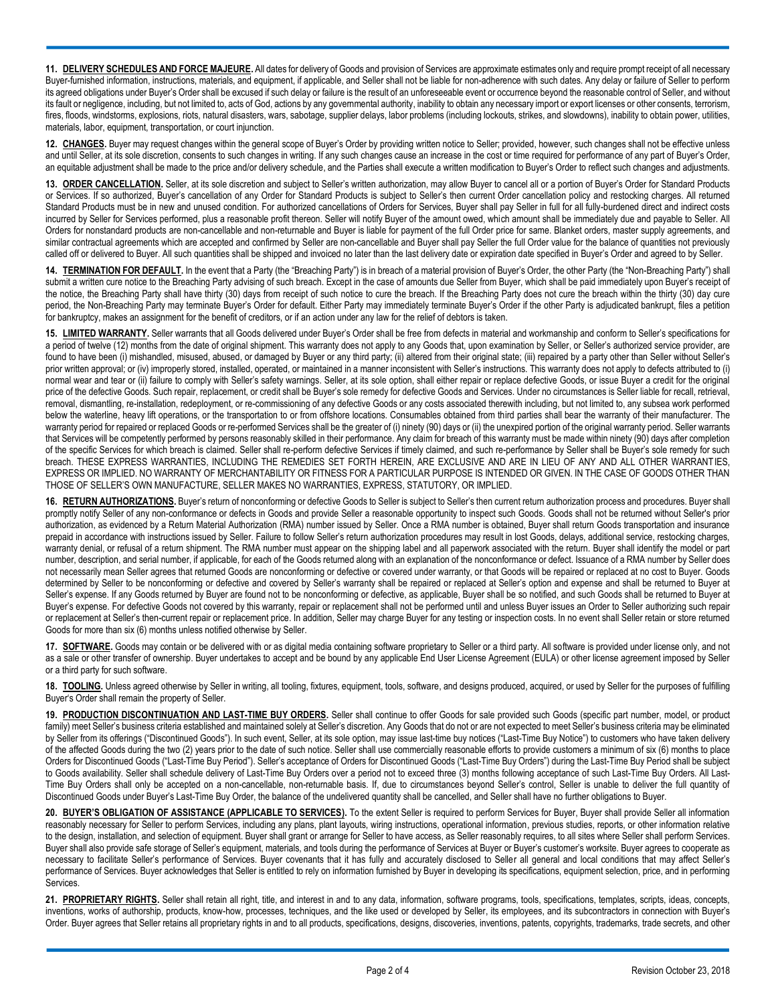**11. DELIVERY SCHEDULES AND FORCE MAJEURE.** All dates for delivery of Goods and provision of Services are approximate estimates only and require prompt receipt of all necessary Buyer-furnished information, instructions, materials, and equipment, if applicable, and Seller shall not be liable for non-adherence with such dates. Any delay or failure of Seller to perform its agreed obligations under Buyer's Order shall be excused if such delay or failure is the result of an unforeseeable event or occurrence beyond the reasonable control of Seller, and without its fault or negligence, including, but not limited to, acts of God, actions by any governmental authority, inability to obtain any necessary import or export licenses or other consents, terrorism, fires, floods, windstorms, explosions, riots, natural disasters, wars, sabotage, supplier delays, labor problems (including lockouts, strikes, and slowdowns), inability to obtain power, utilities, materials, labor, equipment, transportation, or court injunction.

**12. CHANGES.** Buyer may request changes within the general scope of Buyer's Order by providing written notice to Seller; provided, however, such changes shall not be effective unless and until Seller, at its sole discretion, consents to such changes in writing. If any such changes cause an increase in the cost or time required for performance of any part of Buyer's Order, an equitable adjustment shall be made to the price and/or delivery schedule, and the Parties shall execute a written modification to Buyer's Order to reflect such changes and adjustments.

**13. ORDER CANCELLATION.** Seller, at its sole discretion and subject to Seller's written authorization, may allow Buyer to cancel all or a portion of Buyer's Order for Standard Products or Services. If so authorized, Buyer's cancellation of any Order for Standard Products is subject to Seller's then current Order cancellation policy and restocking charges. All returned Standard Products must be in new and unused condition. For authorized cancellations of Orders for Services, Buyer shall pay Seller in full for all fully-burdened direct and indirect costs incurred by Seller for Services performed, plus a reasonable profit thereon. Seller will notify Buyer of the amount owed, which amount shall be immediately due and payable to Seller. All Orders for nonstandard products are non-cancellable and non-returnable and Buyer is liable for payment of the full Order price for same. Blanket orders, master supply agreements, and similar contractual agreements which are accepted and confirmed by Seller are non-cancellable and Buyer shall pay Seller the full Order value for the balance of quantities not previously called off or delivered to Buyer. All such quantities shall be shipped and invoiced no later than the last delivery date or expiration date specified in Buyer's Order and agreed to by Seller.

14. **TERMINATION FOR DEFAULT**. In the event that a Party (the "Breaching Party") is in breach of a material provision of Buyer's Order, the other Party (the "Non-Breaching Party") shall submit a written cure notice to the Breaching Party advising of such breach. Except in the case of amounts due Seller from Buyer, which shall be paid immediately upon Buyer's receipt of the notice, the Breaching Party shall have thirty (30) days from receipt of such notice to cure the breach. If the Breaching Party does not cure the breach within the thirty (30) day cure period, the Non-Breaching Party may terminate Buyer's Order for default. Either Party may immediately terminate Buyer's Order if the other Party is adjudicated bankrupt, files a petition for bankruptcy, makes an assignment for the benefit of creditors, or if an action under any law for the relief of debtors is taken.

**15. LIMITED WARRANTY.** Seller warrants that all Goods delivered under Buyer's Order shall be free from defects in material and workmanship and conform to Seller's specifications for a period of twelve (12) months from the date of original shipment. This warranty does not apply to any Goods that, upon examination by Seller, or Seller's authorized service provider, are found to have been (i) mishandled, misused, abused, or damaged by Buyer or any third party; (ii) altered from their original state; (iii) repaired by a party other than Seller without Seller's prior written approval; or (iv) improperly stored, installed, operated, or maintained in a manner inconsistent with Seller's instructions. This warranty does not apply to defects attributed to (i) normal wear and tear or (ii) failure to comply with Seller's safety warnings. Seller, at its sole option, shall either repair or replace defective Goods, or issue Buyer a credit for the original price of the defective Goods. Such repair, replacement, or credit shall be Buyer's sole remedy for defective Goods and Services. Under no circumstances is Seller liable for recall, retrieval, removal, dismantling, re-installation, redeployment, or re-commissioning of any defective Goods or any costs associated therewith including, but not limited to, any subsea work performed below the waterline, heavy lift operations, or the transportation to or from offshore locations. Consumables obtained from third parties shall bear the warranty of their manufacturer. The warranty period for repaired or replaced Goods or re-performed Services shall be the greater of (i) ninety (90) days or (ii) the unexpired portion of the original warranty period. Seller warrants that Services will be competently performed by persons reasonably skilled in their performance. Any claim for breach of this warranty must be made within ninety (90) days after completion of the specific Services for which breach is claimed. Seller shall re-perform defective Services if timely claimed, and such re-performance by Seller shall be Buyer's sole remedy for such breach. THESE EXPRESS WARRANTIES, INCLUDING THE REMEDIES SET FORTH HEREIN, ARE EXCLUSIVE AND ARE IN LIEU OF ANY AND ALL OTHER WARRANTIES, EXPRESS OR IMPLIED. NO WARRANTY OF MERCHANTABILITY OR FITNESS FOR A PARTICULAR PURPOSE IS INTENDED OR GIVEN. IN THE CASE OF GOODS OTHER THAN THOSE OF SELLER'S OWN MANUFACTURE, SELLER MAKES NO WARRANTIES, EXPRESS, STATUTORY, OR IMPLIED.

**16. RETURN AUTHORIZATIONS.** Buyer's return of nonconforming or defective Goods to Seller is subject to Seller's then current return authorization process and procedures. Buyer shall promptly notify Seller of any non-conformance or defects in Goods and provide Seller a reasonable opportunity to inspect such Goods. Goods shall not be returned without Seller's prior authorization, as evidenced by a Return Material Authorization (RMA) number issued by Seller. Once a RMA number is obtained, Buyer shall return Goods transportation and insurance prepaid in accordance with instructions issued by Seller. Failure to follow Seller's return authorization procedures may result in lost Goods, delays, additional service, restocking charges, warranty denial, or refusal of a return shipment. The RMA number must appear on the shipping label and all paperwork associated with the return. Buyer shall identify the model or part number, description, and serial number, if applicable, for each of the Goods returned along with an explanation of the nonconformance or defect. Issuance of a RMA number by Seller does not necessarily mean Seller agrees that returned Goods are nonconforming or defective or covered under warranty, or that Goods will be repaired or replaced at no cost to Buyer. Goods determined by Seller to be nonconforming or defective and covered by Seller's warranty shall be repaired or replaced at Seller's option and expense and shall be returned to Buyer at Seller's expense. If any Goods returned by Buyer are found not to be nonconforming or defective, as applicable, Buyer shall be so notified, and such Goods shall be returned to Buyer at Buyer's expense. For defective Goods not covered by this warranty, repair or replacement shall not be performed until and unless Buyer issues an Order to Seller authorizing such repair or replacement at Seller's then-current repair or replacement price. In addition, Seller may charge Buyer for any testing or inspection costs. In no event shall Seller retain or store returned Goods for more than six (6) months unless notified otherwise by Seller.

17. **SOFTWARE**. Goods may contain or be delivered with or as digital media containing software proprietary to Seller or a third party. All software is provided under license only, and not as a sale or other transfer of ownership. Buyer undertakes to accept and be bound by any applicable End User License Agreement (EULA) or other license agreement imposed by Seller or a third party for such software.

**18. TOOLING.** Unless agreed otherwise by Seller in writing, all tooling, fixtures, equipment, tools, software, and designs produced, acquired, or used by Seller for the purposes of fulfilling Buyer's Order shall remain the property of Seller.

**19. PRODUCTION DISCONTINUATION AND LAST-TIME BUY ORDERS.** Seller shall continue to offer Goods for sale provided such Goods (specific part number, model, or product family) meet Seller's business criteria established and maintained solely at Seller's discretion. Any Goods that do not or are not expected to meet Seller's business criteria may be eliminated by Seller from its offerings ("Discontinued Goods"). In such event, Seller, at its sole option, may issue last-time buy notices ("Last-Time Buy Notice") to customers who have taken delivery of the affected Goods during the two (2) years prior to the date of such notice. Seller shall use commercially reasonable efforts to provide customers a minimum of six (6) months to place Orders for Discontinued Goods ("Last-Time Buy Period"). Seller's acceptance of Orders for Discontinued Goods ("Last-Time Buy Orders") during the Last-Time Buy Period shall be subject to Goods availability. Seller shall schedule delivery of Last-Time Buy Orders over a period not to exceed three (3) months following acceptance of such Last-Time Buy Orders. All Last-Time Buy Orders shall only be accepted on a non-cancellable, non-returnable basis. If, due to circumstances beyond Seller's control, Seller is unable to deliver the full quantity of Discontinued Goods under Buyer's Last-Time Buy Order, the balance of the undelivered quantity shall be cancelled, and Seller shall have no further obligations to Buyer.

**20. BUYER'S OBLIGATION OF ASSISTANCE (APPLICABLE TO SERVICES).** To the extent Seller is required to perform Services for Buyer, Buyer shall provide Seller all information reasonably necessary for Seller to perform Services, including any plans, plant layouts, wiring instructions, operational information, previous studies, reports, or other information relative to the design, installation, and selection of equipment. Buyer shall grant or arrange for Seller to have access, as Seller reasonably requires, to all sites where Seller shall perform Services. Buyer shall also provide safe storage of Seller's equipment, materials, and tools during the performance of Services at Buyer or Buyer's customer's worksite. Buyer agrees to cooperate as necessary to facilitate Seller's performance of Services. Buyer covenants that it has fully and accurately disclosed to Seller all general and local conditions that may affect Seller's performance of Services. Buyer acknowledges that Seller is entitled to rely on information furnished by Buyer in developing its specifications, equipment selection, price, and in performing Services.

**21. PROPRIETARY RIGHTS.** Seller shall retain all right, title, and interest in and to any data, information, software programs, tools, specifications, templates, scripts, ideas, concepts, inventions, works of authorship, products, know-how, processes, techniques, and the like used or developed by Seller, its employees, and its subcontractors in connection with Buyer's Order. Buyer agrees that Seller retains all proprietary rights in and to all products, specifications, designs, discoveries, inventions, patents, copyrights, trademarks, trade secrets, and other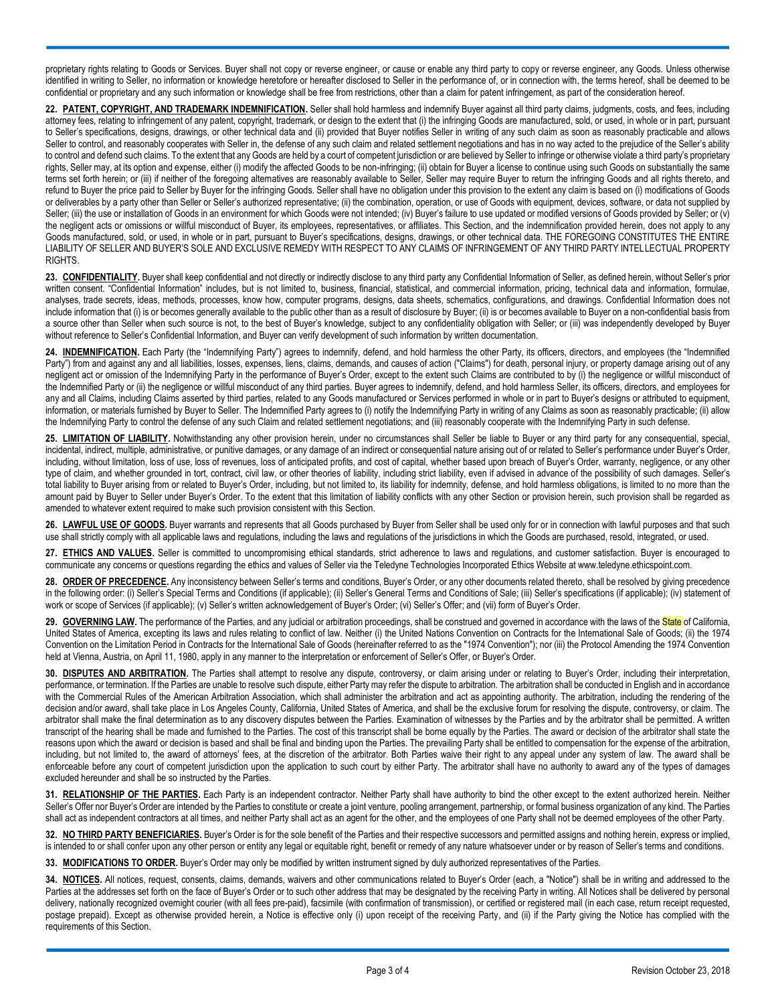proprietary rights relating to Goods or Services. Buyer shall not copy or reverse engineer, or cause or enable any third party to copy or reverse engineer, any Goods. Unless otherwise identified in writing to Seller, no information or knowledge heretofore or hereafter disclosed to Seller in the performance of, or in connection with, the terms hereof, shall be deemed to be confidential or proprietary and any such information or knowledge shall be free from restrictions, other than a claim for patent infringement, as part of the consideration hereof.

**22. PATENT, COPYRIGHT, AND TRADEMARK INDEMNIFICATION.** Seller shall hold harmless and indemnify Buyer against all third party claims, judgments, costs, and fees, including attorney fees, relating to infringement of any patent, copyright, trademark, or design to the extent that (i) the infringing Goods are manufactured, sold, or used, in whole or in part, pursuant to Seller's specifications, designs, drawings, or other technical data and (ii) provided that Buyer notifies Seller in writing of any such claim as soon as reasonably practicable and allows Seller to control, and reasonably cooperates with Seller in, the defense of any such claim and related settlement negotiations and has in no way acted to the prejudice of the Seller's ability to control and defend such claims. To the extent that any Goods are held by a court of competent jurisdiction or are believed by Seller to infringe or otherwise violate a third party's proprietary rights, Seller may, at its option and expense, either (i) modify the affected Goods to be non-infringing; (ii) obtain for Buyer a license to continue using such Goods on substantially the same terms set forth herein; or (iii) if neither of the foregoing alternatives are reasonably available to Seller, Seller may require Buyer to return the infringing Goods and all rights thereto, and refund to Buyer the price paid to Seller by Buyer for the infringing Goods. Seller shall have no obligation under this provision to the extent any claim is based on (i) modifications of Goods or deliverables by a party other than Seller or Seller's authorized representative; (ii) the combination, operation, or use of Goods with equipment, devices, software, or data not supplied by Seller; (iii) the use or installation of Goods in an environment for which Goods were not intended; (iv) Buyer's failure to use updated or modified versions of Goods provided by Seller; or (v) the negligent acts or omissions or willful misconduct of Buyer, its employees, representatives, or affiliates. This Section, and the indemnification provided herein, does not apply to any Goods manufactured, sold, or used, in whole or in part, pursuant to Buyer's specifications, designs, drawings, or other technical data. THE FOREGOING CONSTITUTES THE ENTIRE LIABILITY OF SELLER AND BUYER'S SOLE AND EXCLUSIVE REMEDY WITH RESPECT TO ANY CLAIMS OF INFRINGEMENT OF ANY THIRD PARTY INTELLECTUAL PROPERTY RIGHTS.

23. CONFIDENTIALITY. Buyer shall keep confidential and not directly or indirectly disclose to any third party any Confidential Information of Seller, as defined herein, without Seller's prior written consent, "Confidential Information" includes, but is not limited to, business, financial, statistical, and commercial information, pricing, technical data and information, formulae, analyses, trade secrets, ideas, methods, processes, know how, computer programs, designs, data sheets, schematics, configurations, and drawings. Confidential Information does not include information that (i) is or becomes generally available to the public other than as a result of disclosure by Buyer; (ii) is or becomes available to Buyer on a non-confidential basis from a source other than Seller when such source is not, to the best of Buyer's knowledge, subject to any confidentiality obligation with Seller; or (iii) was independently developed by Buyer without reference to Seller's Confidential Information, and Buyer can verify development of such information by written documentation.

**24. INDEMNIFICATION.** Each Party (the "Indemnifying Party") agrees to indemnify, defend, and hold harmless the other Party, its officers, directors, and employees (the "Indemnified Party") from and against any and all liabilities, losses, expenses, liens, claims, demands, and causes of action ("Claims") for death, personal injury, or property damage arising out of any negligent act or omission of the Indemnifying Party in the performance of Buyer's Order, except to the extent such Claims are contributed to by (i) the negligence or willful misconduct of the Indemnified Party or (ii) the negligence or willful misconduct of any third parties. Buyer agrees to indemnify, defend, and hold harmless Seller, its officers, directors, and employees for any and all Claims, including Claims asserted by third parties, related to any Goods manufactured or Services performed in whole or in part to Buyer's designs or attributed to equipment, information, or materials furnished by Buyer to Seller. The Indemnified Party agrees to (i) notify the Indemnifying Party in writing of any Claims as soon as reasonably practicable; (ii) allow the Indemnifying Party to control the defense of any such Claim and related settlement negotiations; and (iii) reasonably cooperate with the Indemnifying Party in such defense.

**25. LIMITATION OF LIABILITY.** Notwithstanding any other provision herein, under no circumstances shall Seller be liable to Buyer or any third party for any consequential, special, incidental, indirect, multiple, administrative, or punitive damages, or any damage of an indirect or consequential nature arising out of or related to Seller's performance under Buyer's Order, including, without limitation, loss of use, loss of revenues, loss of anticipated profits, and cost of capital, whether based upon breach of Buyer's Order, warranty, negligence, or any other type of claim, and whether grounded in tort, contract, civil law, or other theories of liability, including strict liability, even if advised in advance of the possibility of such damages. Seller's total liability to Buyer arising from or related to Buyer's Order, including, but not limited to, its liability for indemnity, defense, and hold harmless obligations, is limited to no more than the amount paid by Buyer to Seller under Buyer's Order. To the extent that this limitation of liability conflicts with any other Section or provision herein, such provision shall be regarded as amended to whatever extent required to make such provision consistent with this Section.

26. LAWFUL USE OF GOODS. Buyer warrants and represents that all Goods purchased by Buyer from Seller shall be used only for or in connection with lawful purposes and that such use shall strictly comply with all applicable laws and regulations, including the laws and regulations of the jurisdictions in which the Goods are purchased, resold, integrated, or used.

**27. ETHICS AND VALUES.** Seller is committed to uncompromising ethical standards, strict adherence to laws and regulations, and customer satisfaction. Buyer is encouraged to communicate any concerns or questions regarding the ethics and values of Seller via the Teledyne Technologies Incorporated Ethics Website at www.teledyne.ethicspoint.com.

28. ORDER OF PRECEDENCE. Any inconsistency between Seller's terms and conditions, Buyer's Order, or any other documents related thereto, shall be resolved by giving precedence in the following order: (i) Seller's Special Terms and Conditions (if applicable); (ii) Seller's General Terms and Conditions of Sale; (iii) Seller's specifications (if applicable); (iv) statement of work or scope of Services (if applicable); (v) Seller's written acknowledgement of Buyer's Order; (vi) Seller's Offer; and (vii) form of Buyer's Order.

29. GOVERNING LAW. The performance of the Parties, and any judicial or arbitration proceedings, shall be construed and governed in accordance with the laws of the State of California, United States of America, excepting its laws and rules relating to conflict of law. Neither (i) the United Nations Convention on Contracts for the International Sale of Goods; (ii) the 1974 Convention on the Limitation Period in Contracts for the International Sale of Goods (hereinafter referred to as the "1974 Convention"); nor (iii) the Protocol Amending the 1974 Convention held at Vienna, Austria, on April 11, 1980, apply in any manner to the interpretation or enforcement of Seller's Offer, or Buyer's Order.

30. **DISPUTES AND ARBITRATION**. The Parties shall attempt to resolve any dispute, controversy, or claim arising under or relating to Buyer's Order, including their interpretation, performance, or termination. If the Parties are unable to resolve such dispute, either Party may refer the dispute to arbitration. The arbitration shall be conducted in English and in accordance with the Commercial Rules of the American Arbitration Association, which shall administer the arbitration and act as appointing authority. The arbitration, including the rendering of the decision and/or award, shall take place in Los Angeles County, California, United States of America, and shall be the exclusive forum for resolving the dispute, controversy, or claim. The arbitrator shall make the final determination as to any discovery disputes between the Parties. Examination of witnesses by the Parties and by the arbitrator shall be permitted. A written transcript of the hearing shall be made and furnished to the Parties. The cost of this transcript shall be borne equally by the Parties. The award or decision of the arbitrator shall state the reasons upon which the award or decision is based and shall be final and binding upon the Parties. The prevailing Party shall be entitled to compensation for the expense of the arbitration, including, but not limited to, the award of attorneys' fees, at the discretion of the arbitrator. Both Parties waive their right to any appeal under any system of law. The award shall be enforceable before any court of competent jurisdiction upon the application to such court by either Party. The arbitrator shall have no authority to award any of the types of damages excluded hereunder and shall be so instructed by the Parties.

**31. RELATIONSHIP OF THE PARTIES.** Each Party is an independent contractor. Neither Party shall have authority to bind the other except to the extent authorized herein. Neither Seller's Offer nor Buyer's Order are intended by the Parties to constitute or create a joint venture, pooling arrangement, partnership, or formal business organization of any kind. The Parties shall act as independent contractors at all times, and neither Party shall act as an agent for the other, and the employees of one Party shall not be deemed employees of the other Party.

**32. NO THIRD PARTY BENEFICIARIES.** Buyer's Order is for the sole benefit of the Parties and their respective successors and permitted assigns and nothing herein, express or implied, is intended to or shall confer upon any other person or entity any legal or equitable right, benefit or remedy of any nature whatsoever under or by reason of Seller's terms and conditions.

**33. MODIFICATIONS TO ORDER.** Buyer's Order may only be modified by written instrument signed by duly authorized representatives of the Parties.

34. NOTICES. All notices, request, consents, claims, demands, waivers and other communications related to Buyer's Order (each, a "Notice") shall be in writing and addressed to the Parties at the addresses set forth on the face of Buyer's Order or to such other address that may be designated by the receiving Party in writing. All Notices shall be delivered by personal delivery, nationally recognized overnight courier (with all fees pre-paid), facsimile (with confirmation of transmission), or certified or registered mail (in each case, return receipt requested, postage prepaid). Except as otherwise provided herein, a Notice is effective only (i) upon receipt of the receiving Party, and (ii) if the Party giving the Notice has complied with the requirements of this Section.